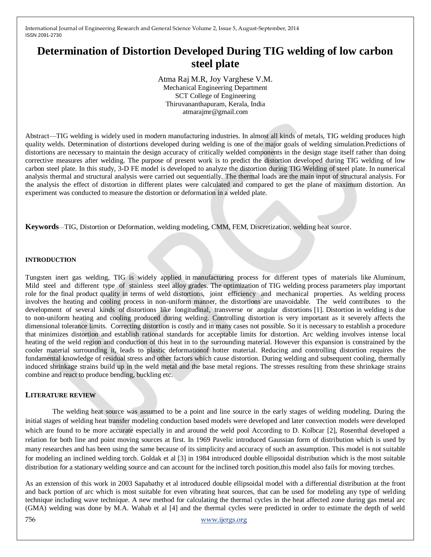# **Determination of Distortion Developed During TIG welding of low carbon steel plate**

Atma Raj M.R, Joy Varghese V.M. Mechanical Engineering Department SCT College of Engineering Thiruvananthapuram, Kerala, India atmarajmr@gmail.com

Abstract—TIG welding is widely used in modern manufacturing industries. In almost all kinds of metals, TIG welding produces high quality welds. Determination of distortions developed during welding is one of the major goals of welding simulation.Predictions of distortions are necessary to maintain the design accuracy of critically welded components in the design stage itself rather than doing corrective measures after welding. The purpose of present work is to predict the distortion developed during TIG welding of low carbon steel plate. In this study, 3-D FE model is developed to analyze the distortion during TIG Welding of steel plate. In numerical analysis thermal and structural analysis were carried out sequentially. The thermal loads are the main input of structural analysis. For the analysis the effect of distortion in different plates were calculated and compared to get the plane of maximum distortion. An experiment was conducted to measure the distortion or deformation in a welded plate.

**Keywords**—TIG, Distortion or Deformation, welding modeling, CMM, FEM, Discretization, welding heat source.

#### **INTRODUCTION**

Tungsten inert gas welding, TIG is widely applied in manufacturing process for different types of materials like Aluminum, Mild steel and different type of stainless steel alloy grades. The optimization of TIG welding process parameters play important role for the final product quality in terms of weld distortions, joint efficiency and mechanical properties. As welding process involves the heating and cooling process in non-uniform manner, the distortions are unavoidable. The weld contributes to the development of several kinds of distortions like longitudinal, transverse or angular distortions [1]. Distortion in welding is due to non-uniform heating and cooling produced during welding. Controlling distortion is very important as it severely affects the dimensional tolerance limits. Correcting distortion is costly and in many cases not possible. So it is necessary to establish a procedure that minimizes distortion and establish rational standards for acceptable limits for distortion. Arc welding involves intense local heating of the weld region and conduction of this heat in to the surrounding material. However this expansion is constrained by the cooler material surrounding it, leads to plastic deformationof hotter material. Reducing and controlling distortion requires the fundamental knowledge of residual stress and other factors which cause distortion. During welding and subsequent cooling, thermally induced shrinkage strains build up in the weld metal and the base metal regions. The stresses resulting from these shrinkage strains combine and react to produce bending, buckling etc.

#### **LITERATURE REVIEW**

The welding heat source was assumed to be a point and line source in the early stages of welding modeling. During the initial stages of welding heat transfer modeling conduction based models were developed and later convection models were developed which are found to be more accurate especially in and around the weld pool According to D. Kolbcar [2], Rosenthal developed a relation for both line and point moving sources at first. In 1969 Pavelic introduced Gaussian form of distribution which is used by many researches and has been using the same because of its simplicity and accuracy of such an assumption. This model is not suitable for modeling an inclined welding torch. Goldak et al [3] in 1984 introduced double ellipsoidal distribution which is the most suitable distribution for a stationary welding source and can account for the inclined torch position,this model also fails for moving torches.

As an extension of this work in 2003 Sapabathy et al introduced double ellipsoidal model with a differential distribution at the front and back portion of arc which is most suitable for even vibrating heat sources, that can be used for modeling any type of welding technique including wave technique. A new method for calculating the thermal cycles in the heat affected zone during gas metal arc (GMA) welding was done by M.A. Wahab et al [4] and the thermal cycles were predicted in order to estimate the depth of weld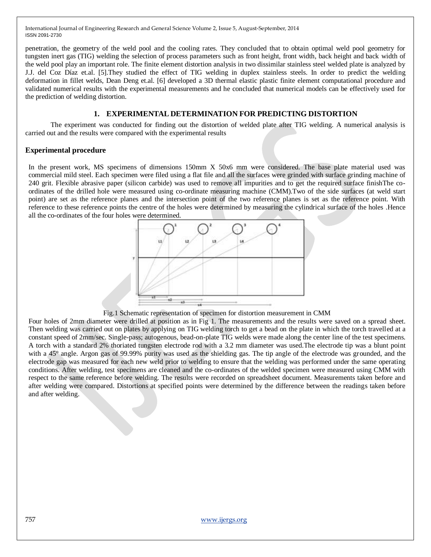penetration, the geometry of the weld pool and the cooling rates. They concluded that to obtain optimal weld pool geometry for tungsten inert gas (TIG) welding the selection of process parameters such as front height, front width, back height and back width of the weld pool play an important role. The finite element distortion analysis in two dissimilar stainless steel welded plate is analyzed by J.J. del Coz Díaz et.al. [5].They studied the effect of TIG welding in duplex stainless steels. In order to predict the welding deformation in fillet welds, Dean Deng et.al. [6] developed a 3D thermal elastic plastic finite element computational procedure and validated numerical results with the experimental measurements and he concluded that numerical models can be effectively used for the prediction of welding distortion.

## **1. EXPERIMENTAL DETERMINATION FOR PREDICTING DISTORTION**

The experiment was conducted for finding out the distortion of welded plate after TIG welding. A numerical analysis is carried out and the results were compared with the experimental results

## **Experimental procedure**

In the present work, MS specimens of dimensions 150mm X 50x6 mm were considered. The base plate material used was commercial mild steel. Each specimen were filed using a flat file and all the surfaces were grinded with surface grinding machine of 240 grit. Flexible abrasive paper (silicon carbide) was used to remove all impurities and to get the required surface finishThe coordinates of the drilled hole were measured using co-ordinate measuring machine (CMM).Two of the side surfaces (at weld start point) are set as the reference planes and the intersection point of the two reference planes is set as the reference point. With reference to these reference points the centre of the holes were determined by measuring the cylindrical surface of the holes .Hence all the co-ordinates of the four holes were determined.



Fig.1 Schematic representation of specimen for distortion measurement in CMM

Four holes of 2mm diameter were drilled at position as in Fig 1. The measurements and the results were saved on a spread sheet. Then welding was carried out on plates by applying on TIG welding torch to get a bead on the plate in which the torch travelled at a constant speed of 2mm/sec. Single-pass; autogenous, bead-on-plate TIG welds were made along the center line of the test specimens. A torch with a standard 2% thoriated tungsten electrode rod with a 3.2 mm diameter was used.The electrode tip was a blunt point with a 45° angle. Argon gas of 99.99% purity was used as the shielding gas. The tip angle of the electrode was grounded, and the electrode gap was measured for each new weld prior to welding to ensure that the welding was performed under the same operating conditions. After welding, test specimens are cleaned and the co-ordinates of the welded specimen were measured using CMM with respect to the same reference before welding. The results were recorded on spreadsheet document. Measurements taken before and after welding were compared. Distortions at specified points were determined by the difference between the readings taken before and after welding.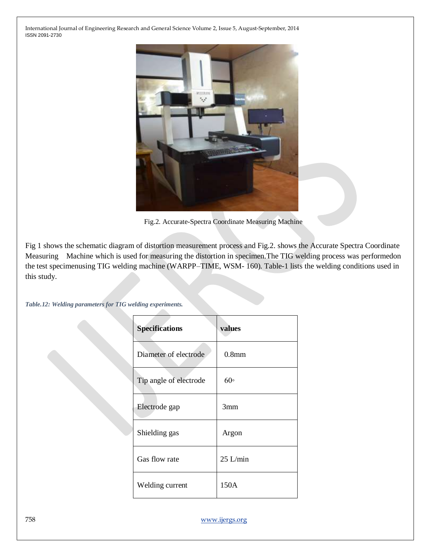

Fig.2. Accurate-Spectra Coordinate Measuring Machine

Fig 1 shows the schematic diagram of distortion measurement process and Fig.2. shows the Accurate Spectra Coordinate Measuring Machine which is used for measuring the distortion in specimen.The TIG welding process was performedon the test specimenusing TIG welding machine (WARPP–TIME, WSM- 160). Table-1 lists the welding conditions used in this study.

*Table.12: Welding parameters for TIG welding experiments.*

| <b>Specifications</b>  | values            |
|------------------------|-------------------|
| Diameter of electrode  | 0.8 <sub>mm</sub> |
| Tip angle of electrode | 60 <sup>°</sup>   |
| Electrode gap          | 3mm               |
| Shielding gas          | Argon             |
| Gas flow rate          | $25$ L/min        |
| Welding current        | 150A              |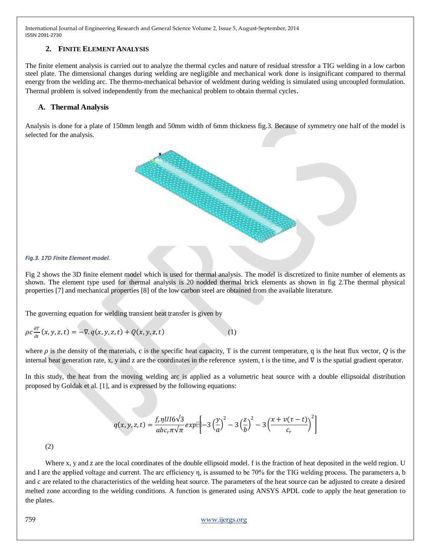# **2. FINITE ELEMENT ANALYSIS**

The finite element analysis is carried out to analyze the thermal cycles and nature of residual stressfor a TIG welding in a low carbon steel plate. The dimensional changes during welding are negligible and mechanical work done is insignificant compared to thermal energy from the welding arc. The thermo-mechanical behavior of weldment during welding is simulated using uncoupled formulation. Thermal problem is solved independently from the mechanical problem to obtain thermal cycles.

# **A. Thermal Analysis**

Analysis is done for a plate of 150mm length and 50mm width of 6mm thickness fig.3. Because of symmetry one half of the model is selected for the analysis.



#### *Fig.3. 17D Finite Element model.*

Fig 2 shows the 3D finite element model which is used for thermal analysis. The model is discretized to finite number of elements as shown. The element type used for thermal analysis is 20 nodded thermal brick elements as shown in fig 2.The thermal physical properties [7] and mechanical properties [8] of the low carbon steel are obtained from the available literature.

The governing equation for welding transient heat transfer is given by

$$
\rho c \frac{\partial T}{\partial t}(x, y, z, t) = -\nabla \cdot q(x, y, z, t) + Q(x, y, z, t)
$$
\n(1)

where  $\rho$  is the density of the materials, c is the specific heat capacity, T is the current temperature, q is the heat flux vector,  $Q$  is the internal heat generation rate, x, y and z are the coordinates in the reference system, t is the time, and ∇ is the spatial gradient operator.

In this study, the heat from the moving welding arc is applied as a volumetric heat source with a double ellipsoidal distribution proposed by Goldak et al. [1], and is expressed by the following equations:

$$
q(x, y, z, t) = \frac{f_r \eta U I 6\sqrt{3}}{abc_r \pi \sqrt{\pi}} exp\left[-3\left(\frac{y}{a}\right)^2 - 3\left(\frac{z}{b}\right)^2 - 3\left(\frac{x + v(\tau - t)}{c_r}\right)^2\right]
$$

(2)

Where x, y and z are the local coordinates of the double ellipsoid model. f is the fraction of heat deposited in the weld region. U and I are the applied voltage and current. The arc efficiency η, is assumed to be 70% for the TIG welding process. The parameters a, b and c are related to the characteristics of the welding heat source. The parameters of the heat source can be adjusted to create a desired melted zone according to the welding conditions. A function is generated using ANSYS APDL code to apply the heat generation to the plates.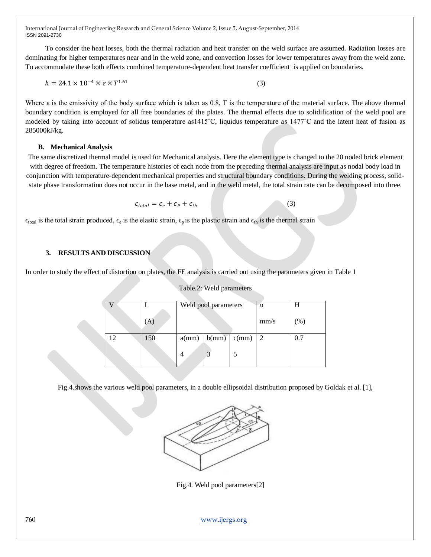To consider the heat losses, both the thermal radiation and heat transfer on the weld surface are assumed. Radiation losses are dominating for higher temperatures near and in the weld zone, and convection losses for lower temperatures away from the weld zone. To accommodate these both effects combined temperature-dependent heat transfer coefficient is applied on boundaries.

$$
h = 24.1 \times 10^{-4} \times \varepsilon \times T^{1.61}
$$
 (3)

Where  $\varepsilon$  is the emissivity of the body surface which is taken as 0.8, T is the temperature of the material surface. The above thermal boundary condition is employed for all free boundaries of the plates. The thermal effects due to solidification of the weld pool are modeled by taking into account of solidus temperature as1415˚C, liquidus temperature as 1477˚C and the latent heat of fusion as 285000kJ/kg.

## **B. Mechanical Analysis**

The same discretized thermal model is used for Mechanical analysis. Here the element type is changed to the 20 noded brick element with degree of freedom. The temperature histories of each node from the preceding thermal analysis are input as nodal body load in conjunction with temperature-dependent mechanical properties and structural boundary conditions. During the welding process, solidstate phase transformation does not occur in the base metal, and in the weld metal, the total strain rate can be decomposed into three.

(3)

$$
\epsilon_{total} = \epsilon_e + \epsilon_p + \epsilon_{th}
$$

 $\epsilon_{\text{total}}$  is the total strain produced,  $\epsilon_{e}$  is the elastic strain,  $\epsilon_{p}$  is the plastic strain and  $\epsilon_{\text{th}}$  is the thermal strain

## **3. RESULTSAND DISCUSSION**

In order to study the effect of distortion on plates, the FE analysis is carried out using the parameters given in Table 1

|     | Weld pool parameters |       |       | U)   |      |
|-----|----------------------|-------|-------|------|------|
|     |                      |       |       | mm/s | (% ) |
| 150 | a(mm)                | b(mm) | c(mm) | 2    | 0.7  |
|     | 4                    | 3     |       |      |      |

#### Table.2: Weld parameters

Fig.4.shows the various weld pool parameters, in a double ellipsoidal distribution proposed by Goldak et al. [1],



Fig.4. Weld pool parameters[2]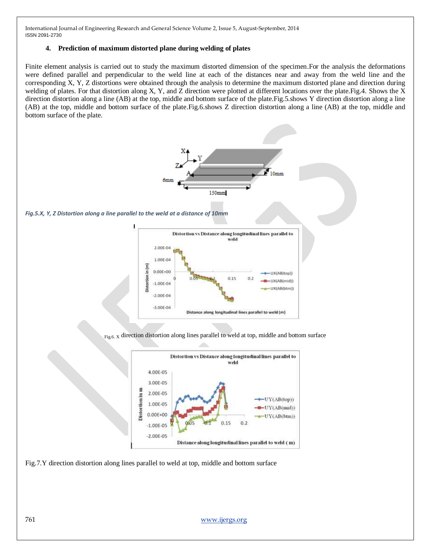#### **4. Prediction of maximum distorted plane during welding of plates**

Finite element analysis is carried out to study the maximum distorted dimension of the specimen.For the analysis the deformations were defined parallel and perpendicular to the weld line at each of the distances near and away from the weld line and the corresponding X, Y, Z distortions were obtained through the analysis to determine the maximum distorted plane and direction during welding of plates. For that distortion along X, Y, and Z direction were plotted at different locations over the plate.Fig.4. Shows the X direction distortion along a line (AB) at the top, middle and bottom surface of the plate.Fig.5.shows Y direction distortion along a line (AB) at the top, middle and bottom surface of the plate.Fig.6.shows Z direction distortion along a line (AB) at the top, middle and bottom surface of the plate.



Fig.7.Y direction distortion along lines parallel to weld at top, middle and bottom surface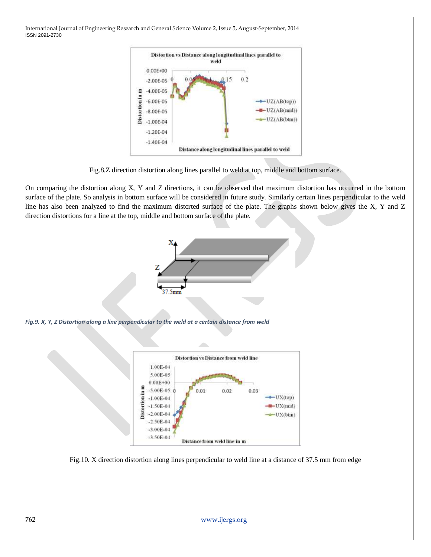

Fig.8.Z direction distortion along lines parallel to weld at top, middle and bottom surface.

On comparing the distortion along X, Y and Z directions, it can be observed that maximum distortion has occurred in the bottom surface of the plate. So analysis in bottom surface will be considered in future study. Similarly certain lines perpendicular to the weld line has also been analyzed to find the maximum distorted surface of the plate. The graphs shown below gives the X, Y and Z direction distortions for a line at the top, middle and bottom surface of the plate.



Fig.10. X direction distortion along lines perpendicular to weld line at a distance of 37.5 mm from edge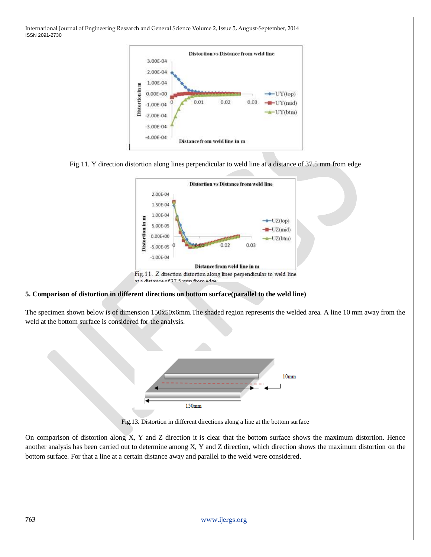|                 |               |      | Distortion vs Distance from weld line |      |            |
|-----------------|---------------|------|---------------------------------------|------|------------|
|                 | 3.00E-04      |      |                                       |      |            |
|                 | 2.00E-04      |      |                                       |      |            |
|                 | 1.00E-04      |      |                                       |      |            |
| Distortion in m | $0.00E + 00$  |      |                                       |      | $-VY(top)$ |
|                 | $-1.00E - 04$ | 0.01 | 0.02                                  | 0.03 |            |
|                 | $-2.00E - 04$ |      |                                       |      | -UY(btm)   |
|                 | $-3.00E - 04$ |      |                                       |      |            |
|                 | $-4.00E - 04$ |      | Distance from weld line in m          |      |            |





#### **5. Comparison of distortion in different directions on bottom surface(parallel to the weld line)**

The specimen shown below is of dimension 150x50x6mm.The shaded region represents the welded area. A line 10 mm away from the weld at the bottom surface is considered for the analysis.



Fig.13. Distortion in different directions along a line at the bottom surface

On comparison of distortion along X, Y and Z direction it is clear that the bottom surface shows the maximum distortion. Hence another analysis has been carried out to determine among X, Y and Z direction, which direction shows the maximum distortion on the bottom surface. For that a line at a certain distance away and parallel to the weld were considered.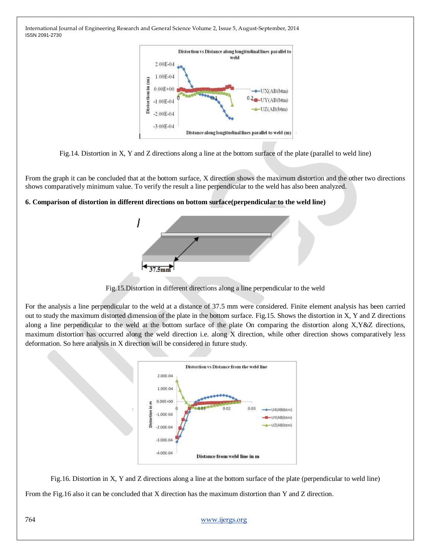



From the graph it can be concluded that at the bottom surface, X direction shows the maximum distortion and the other two directions shows comparatively minimum value. To verify the result a line perpendicular to the weld has also been analyzed.

## **6. Comparison of distortion in different directions on bottom surface(perpendicular to the weld line)**



Fig.15.Distortion in different directions along a line perpendicular to the weld

For the analysis a line perpendicular to the weld at a distance of 37.5 mm were considered. Finite element analysis has been carried out to study the maximum distorted dimension of the plate in the bottom surface. Fig.15. Shows the distortion in X, Y and Z directions along a line perpendicular to the weld at the bottom surface of the plate On comparing the distortion along X,Y&Z directions, maximum distortion has occurred along the weld direction i.e. along X direction, while other direction shows comparatively less deformation. So here analysis in X direction will be considered in future study.



Fig.16. Distortion in X, Y and Z directions along a line at the bottom surface of the plate (perpendicular to weld line) From the Fig.16 also it can be concluded that X direction has the maximum distortion than Y and Z direction.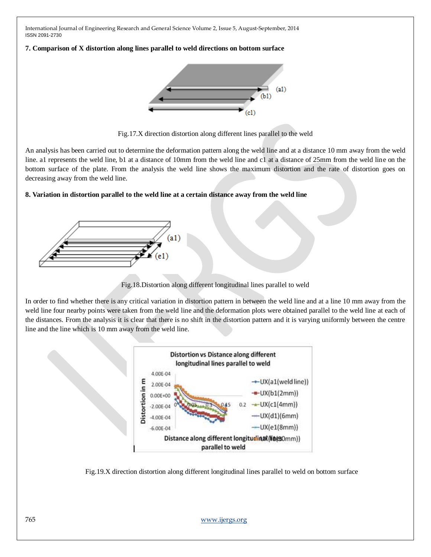#### **7. Comparison of X distortion along lines parallel to weld directions on bottom surface**



Fig.17.X direction distortion along different lines parallel to the weld

An analysis has been carried out to determine the deformation pattern along the weld line and at a distance 10 mm away from the weld line. a1 represents the weld line, b1 at a distance of 10mm from the weld line and c1 at a distance of 25mm from the weld line on the bottom surface of the plate. From the analysis the weld line shows the maximum distortion and the rate of distortion goes on decreasing away from the weld line.

## **8. Variation in distortion parallel to the weld line at a certain distance away from the weld line**



Fig.18.Distortion along different longitudinal lines parallel to weld

In order to find whether there is any critical variation in distortion pattern in between the weld line and at a line 10 mm away from the weld line four nearby points were taken from the weld line and the deformation plots were obtained parallel to the weld line at each of the distances. From the analysis it is clear that there is no shift in the distortion pattern and it is varying uniformly between the centre line and the line which is 10 mm away from the weld line.



Fig.19.X direction distortion along different longitudinal lines parallel to weld on bottom surface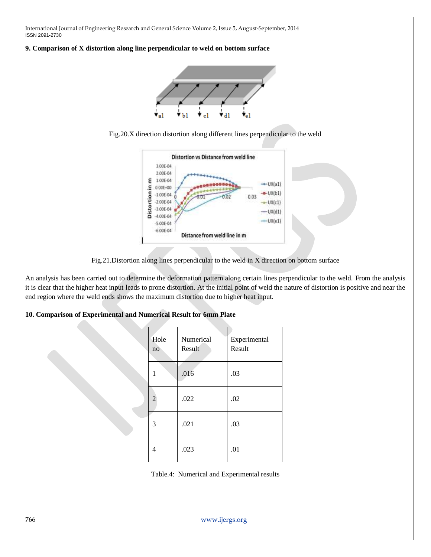#### **9. Comparison of X distortion along line perpendicular to weld on bottom surface**







Fig.21.Distortion along lines perpendicular to the weld in X direction on bottom surface

An analysis has been carried out to determine the deformation pattern along certain lines perpendicular to the weld. From the analysis it is clear that the higher heat input leads to prone distortion. At the initial point of weld the nature of distortion is positive and near the end region where the weld ends shows the maximum distortion due to higher heat input.

#### **10. Comparison of Experimental and Numerical Result for 6mm Plate**

| Hole<br>no     | Numerical<br>Result | Experimental<br>Result |
|----------------|---------------------|------------------------|
|                | .016                | .03                    |
| $\overline{2}$ | .022                | .02                    |
| 3              | .021                | .03                    |
|                | .023                | .01                    |

Table.4: Numerical and Experimental results